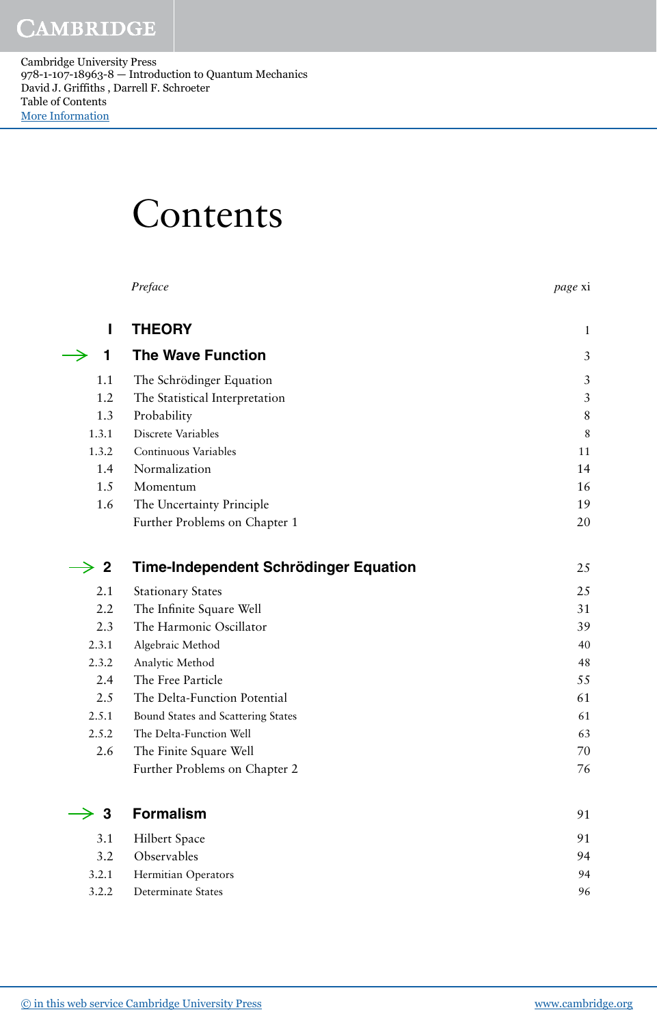Cambridge University Press 978-1-107-18963-8 — Introduction to Quantum Mechanics David J. Griffiths , Darrell F. Schroeter Table of Contents [More Information](www.cambridge.org/9781107189638)

## Contents

|                              | Preface                               | page xi        |
|------------------------------|---------------------------------------|----------------|
|                              |                                       |                |
| ı                            | <b>THEORY</b>                         | 1              |
| →<br>1                       | <b>The Wave Function</b>              | 3              |
| 1.1                          | The Schrödinger Equation              | $\mathfrak{Z}$ |
| 1.2                          | The Statistical Interpretation        | $\mathfrak{Z}$ |
| 1.3                          | Probability                           | $\, 8$         |
| 1.3.1                        | Discrete Variables                    | 8              |
| 1.3.2                        | Continuous Variables                  | 11             |
| 1.4                          | Normalization                         | 14             |
| 1.5                          | Momentum                              | 16             |
| 1.6                          | The Uncertainty Principle             | 19             |
|                              | Further Problems on Chapter 1         | 20             |
|                              |                                       |                |
| →<br>$\overline{\mathbf{2}}$ | Time-Independent Schrödinger Equation | 25             |
| 2.1                          | <b>Stationary States</b>              | 25             |
| 2.2                          | The Infinite Square Well              | 31             |
| 2.3                          | The Harmonic Oscillator               | 39             |
| 2.3.1                        | Algebraic Method                      | 40             |
| 2.3.2                        | Analytic Method                       | 48             |
| 2.4                          | The Free Particle                     | 55             |
| 2.5                          | The Delta-Function Potential          | 61             |
| 2.5.1                        | Bound States and Scattering States    | 61             |
| 2.5.2                        | The Delta-Function Well               | 63             |
| 2.6                          | The Finite Square Well                | 70             |
|                              | Further Problems on Chapter 2         | 76             |
| 3                            | <b>Formalism</b>                      |                |
|                              |                                       | 91             |
| 3.1                          | Hilbert Space                         | 91             |
| 3.2                          | Observables                           | 94             |
| 3.2.1                        | Hermitian Operators                   | 94             |
| 3.2.2                        | Determinate States                    | 96             |
|                              |                                       |                |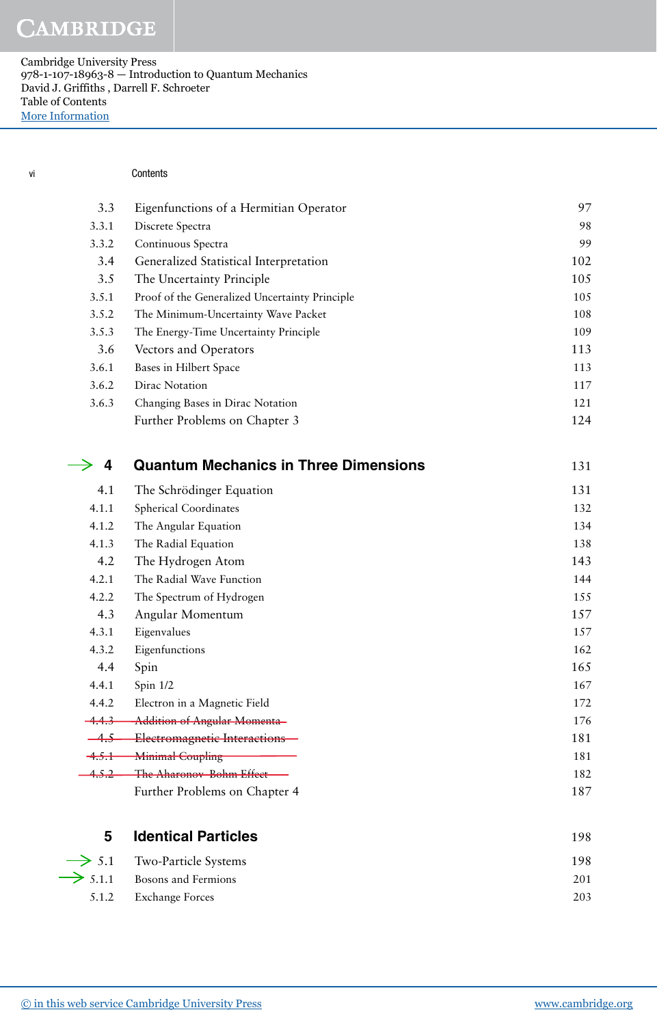Cambridge University Press 978-1-107-18963-8 — Introduction to Quantum Mechanics David J. Griffiths , Darrell F. Schroeter Table of Contents [More Information](www.cambridge.org/9781107189638)

| V١ | Contents |
|----|----------|
|    |          |

| 5                   | <b>Identical Particles</b>                     | 198 |
|---------------------|------------------------------------------------|-----|
|                     | Further Problems on Chapter 4                  | 187 |
| 4.5.2               | The Aharonov Bohm Effect                       | 182 |
| <del>4.5.1</del>    | <b>Minimal Coupling</b>                        | 181 |
| <u>-4.5 - </u>      | <b>Electromagnetic Interactions</b>            | 181 |
| <del>-4.4.3 -</del> | <b>Addition of Angular Momenta</b>             | 176 |
| 4.4.2               | Electron in a Magnetic Field                   | 172 |
| 4.4.1               | Spin $1/2$                                     | 167 |
| 4.4                 | Spin                                           | 165 |
| 4.3.2               | Eigenfunctions                                 | 162 |
| 4.3.1               | Eigenvalues                                    | 157 |
| 4.3                 | Angular Momentum                               | 157 |
| 4.2.2               | The Spectrum of Hydrogen                       | 155 |
| 4.2.1               | The Radial Wave Function                       | 144 |
| 4.2                 | The Hydrogen Atom                              | 143 |
| 4.1.3               | The Radial Equation                            | 138 |
| 4.1.2               | The Angular Equation                           | 134 |
| 4.1.1               | Spherical Coordinates                          | 132 |
| 4.1                 | The Schrödinger Equation                       | 131 |
| 4                   | <b>Quantum Mechanics in Three Dimensions</b>   | 131 |
|                     | Further Problems on Chapter 3                  | 124 |
| 3.6.3               | Changing Bases in Dirac Notation               | 121 |
| 3.6.2               | Dirac Notation                                 | 117 |
| 3.6.1               | Bases in Hilbert Space                         | 113 |
| 3.6                 | Vectors and Operators                          | 113 |
| 3.5.3               | The Energy-Time Uncertainty Principle          | 109 |
| 3.5.2               | The Minimum-Uncertainty Wave Packet            | 108 |
| 3.5.1               | Proof of the Generalized Uncertainty Principle | 105 |
| 3.5                 | The Uncertainty Principle                      | 105 |
| 3.4                 | Generalized Statistical Interpretation         | 102 |
| 3.3.2               | Continuous Spectra                             | 99  |
| 3.3.1               | Discrete Spectra                               | 98  |
| 3.3                 | Eigenfunctions of a Hermitian Operator         | 97  |

| $\rightarrow$ 5.1 Two-Particle Systems  | 198 |
|-----------------------------------------|-----|
| $\rightarrow$ 5.1.1 Bosons and Fermions | 201 |
| 5.1.2 Exchange Forces                   | 203 |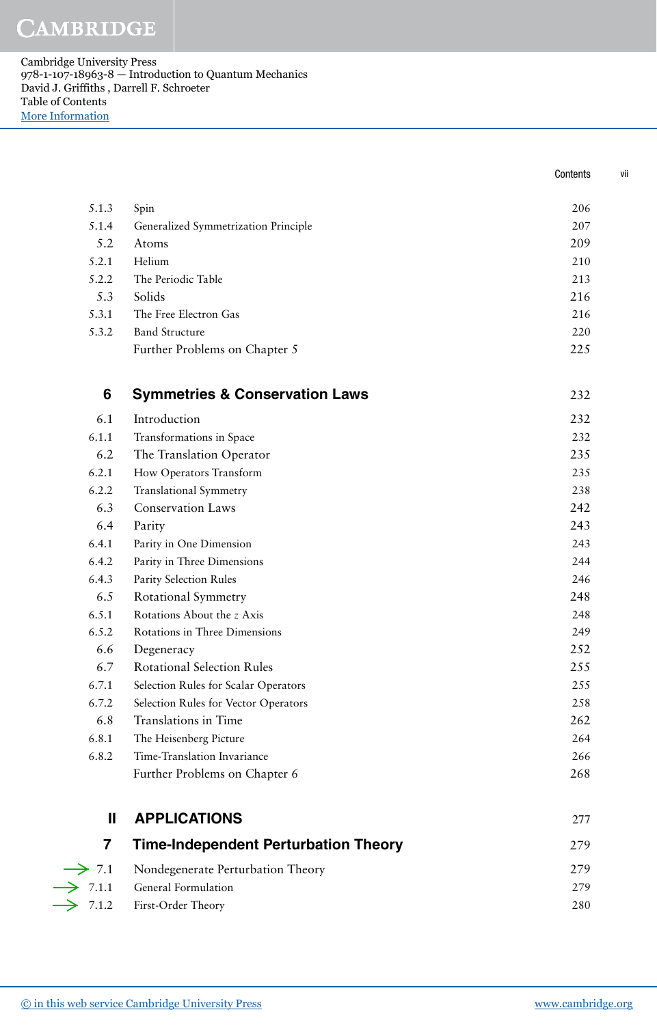Cambridge University Press 978-1-107-18963-8 — Introduction to Quantum Mechanics David J. Griffiths , Darrell F. Schroeter Table of Contents [More Information](www.cambridge.org/9781107189638)

Contents vii

| 5.1.3 | Spin                                 | 206  |
|-------|--------------------------------------|------|
| 5.1.4 | Generalized Symmetrization Principle | 207  |
| 5.2   | Atoms                                | 209  |
| 5.2.1 | Helium                               | 210  |
| 5.2.2 | The Periodic Table                   | 213  |
| 5.3   | Solids                               | 216  |
| 5.3.1 | The Free Electron Gas                | 216  |
| 5.3.2 | <b>Band Structure</b>                | 220  |
|       | Further Problems on Chapter 5        | 22.5 |

| 6     | <b>Symmetries &amp; Conservation Laws</b> | 232 |
|-------|-------------------------------------------|-----|
| 6.1   | Introduction                              | 232 |
| 6.1.1 | Transformations in Space                  | 232 |
| 6.2   | The Translation Operator                  | 235 |
| 6.2.1 | How Operators Transform                   | 235 |
| 6.2.2 | <b>Translational Symmetry</b>             | 238 |
| 6.3   | <b>Conservation Laws</b>                  | 242 |
| 6.4   | Parity                                    | 243 |
| 6.4.1 | Parity in One Dimension                   | 243 |
| 6.4.2 | Parity in Three Dimensions                | 244 |
| 6.4.3 | Parity Selection Rules                    | 246 |
| 6.5   | Rotational Symmetry                       | 248 |
| 6.5.1 | Rotations About the z Axis                | 248 |
| 6.5.2 | Rotations in Three Dimensions             | 249 |
| 6.6   | Degeneracy                                | 252 |
| 6.7   | <b>Rotational Selection Rules</b>         | 255 |
| 6.7.1 | Selection Rules for Scalar Operators      | 255 |
| 6.7.2 | Selection Rules for Vector Operators      | 258 |
| 6.8   | Translations in Time                      | 262 |
| 6.8.1 | The Heisenberg Picture                    | 264 |
| 6.8.2 | Time-Translation Invariance               | 266 |
|       | Further Problems on Chapter 6             | 268 |

| Ш     | <b>APPLICATIONS</b>                         | 2.77 |
|-------|---------------------------------------------|------|
|       | <b>Time-Independent Perturbation Theory</b> | 279  |
|       | 7.1 Nondegenerate Perturbation Theory       | 279  |
| 7.1.1 | General Formulation                         | 279  |
|       | 7.1.2 First-Order Theory                    | 280  |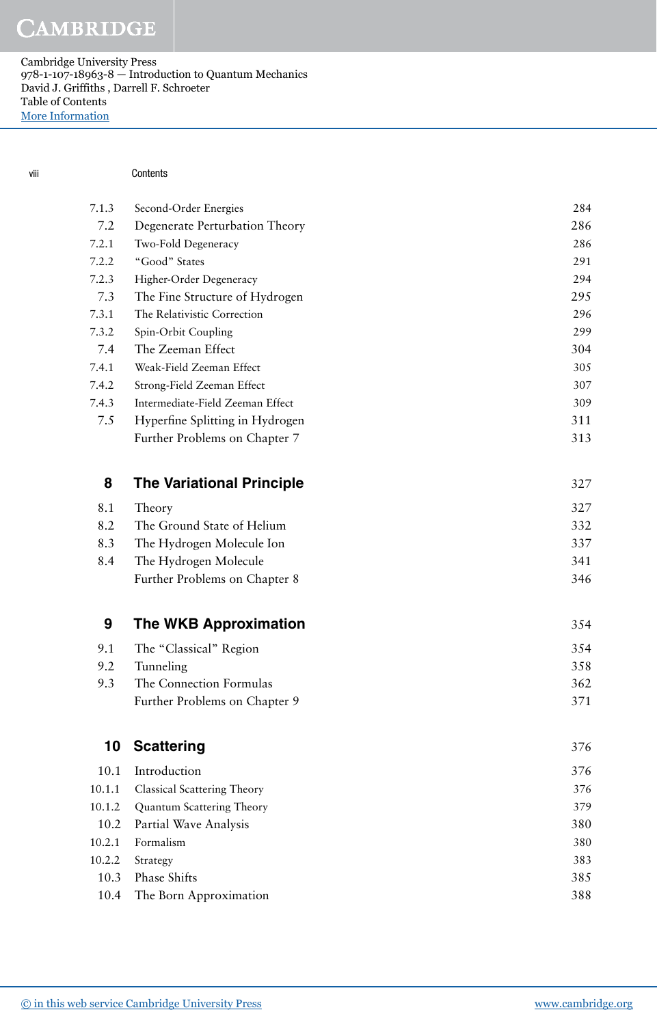viii Contents

Cambridge University Press 978-1-107-18963-8 — Introduction to Quantum Mechanics David J. Griffiths , Darrell F. Schroeter Table of Contents [More Information](www.cambridge.org/9781107189638)

| 7.1.3  | Second-Order Energies            | 284 |
|--------|----------------------------------|-----|
| 7.2    | Degenerate Perturbation Theory   | 286 |
| 7.2.1  | Two-Fold Degeneracy              | 286 |
| 7.2.2  | "Good" States                    | 291 |
| 7.2.3  | Higher-Order Degeneracy          | 294 |
| 7.3    | The Fine Structure of Hydrogen   | 295 |
| 7.3.1  | The Relativistic Correction      | 296 |
| 7.3.2  | Spin-Orbit Coupling              | 299 |
| 7.4    | The Zeeman Effect                | 304 |
| 7.4.1  | Weak-Field Zeeman Effect         | 305 |
| 7.4.2  | Strong-Field Zeeman Effect       | 307 |
| 7.4.3  | Intermediate-Field Zeeman Effect | 309 |
| 7.5    | Hyperfine Splitting in Hydrogen  | 311 |
|        | Further Problems on Chapter 7    | 313 |
| 8      | <b>The Variational Principle</b> | 327 |
| 8.1    | Theory                           | 327 |
| 8.2    | The Ground State of Helium       | 332 |
| 8.3    | The Hydrogen Molecule Ion        | 337 |
| 8.4    | The Hydrogen Molecule            | 341 |
|        | Further Problems on Chapter 8    | 346 |
| 9      | <b>The WKB Approximation</b>     | 354 |
|        |                                  |     |
| 9.1    | The "Classical" Region           | 354 |
| 9.2    | Tunneling                        | 358 |
| 9.3    | The Connection Formulas          | 362 |
|        | Further Problems on Chapter 9    | 371 |
| 10     | <b>Scattering</b>                | 376 |
| 10.1   | Introduction                     | 376 |
| 10.1.1 | Classical Scattering Theory      | 376 |
| 10.1.2 | Quantum Scattering Theory        | 379 |
| 10.2   | Partial Wave Analysis            | 380 |
| 10.2.1 | Formalism                        | 380 |
| 10.2.2 | Strategy                         | 383 |
| 10.3   | Phase Shifts                     | 385 |

10.4 The Born Approximation 388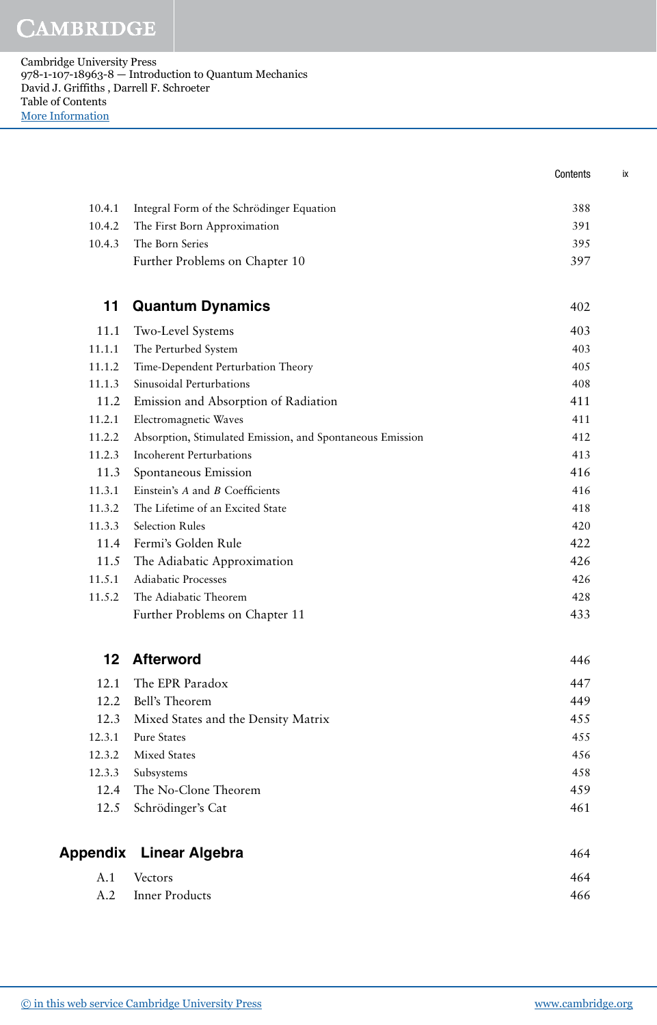Cambridge University Press 978-1-107-18963-8 — Introduction to Quantum Mechanics David J. Griffiths , Darrell F. Schroeter Table of Contents [More Information](www.cambridge.org/9781107189638)

|                 |                                                           | Contents |
|-----------------|-----------------------------------------------------------|----------|
| 10.4.1          | Integral Form of the Schrödinger Equation                 | 388      |
| 10.4.2          | The First Born Approximation                              | 391      |
| 10.4.3          | The Born Series                                           | 395      |
|                 | Further Problems on Chapter 10                            | 397      |
| 11              | <b>Quantum Dynamics</b>                                   | 402      |
| 11.1            | Two-Level Systems                                         | 403      |
| 11.1.1          | The Perturbed System                                      | 403      |
| 11.1.2          | Time-Dependent Perturbation Theory                        | 405      |
| 11.1.3          | Sinusoidal Perturbations                                  | 408      |
| 11.2            | Emission and Absorption of Radiation                      | 411      |
| 11.2.1          | Electromagnetic Waves                                     | 411      |
| 11.2.2          | Absorption, Stimulated Emission, and Spontaneous Emission | 412      |
| 11.2.3          | <b>Incoherent Perturbations</b>                           | 413      |
| 11.3            | Spontaneous Emission                                      | 416      |
| 11.3.1          | Einstein's A and B Coefficients                           | 416      |
| 11.3.2          | The Lifetime of an Excited State                          | 418      |
| 11.3.3          | Selection Rules                                           | 420      |
| 11.4            | Fermi's Golden Rule                                       | 422      |
| 11.5            | The Adiabatic Approximation                               | 426      |
| 11.5.1          | <b>Adiabatic Processes</b>                                | 426      |
| 11.5.2          | The Adiabatic Theorem                                     | 428      |
|                 | Further Problems on Chapter 11                            | 433      |
|                 | 12 Afterword                                              | 446      |
| 12.1            | The EPR Paradox                                           | 447      |
| 12.2            | Bell's Theorem                                            | 449      |
| 12.3            | Mixed States and the Density Matrix                       | 455      |
| 12.3.1          | <b>Pure States</b>                                        | 455      |
| 12.3.2          | <b>Mixed States</b>                                       | 456      |
| 12.3.3          | Subsystems                                                | 458      |
| 12.4            | The No-Clone Theorem                                      | 459      |
| 12.5            | Schrödinger's Cat                                         | 461      |
| <b>Appendix</b> | Linear Algebra                                            | 464      |
| A.1             | Vectors                                                   | 464      |
| A.2             | <b>Inner Products</b>                                     | 466      |
|                 |                                                           |          |

ix